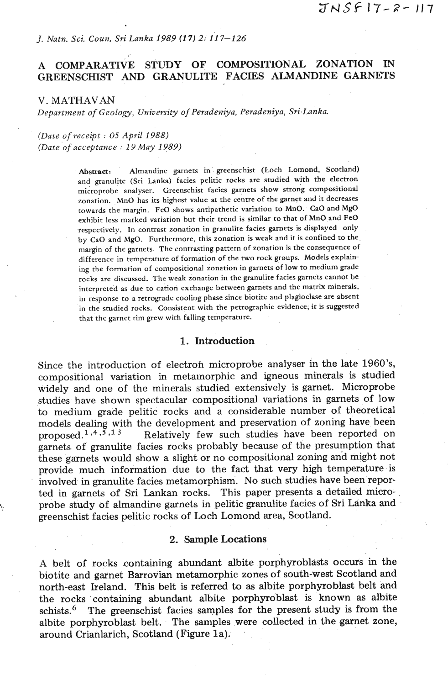# *J. Natn. Sci. Cow. Sri Lanka 1989* **(17)** 2: *11* **7-126**

# A COMPARATIVE STUDY OF COMPOSITIONAL ZONATION IN GREENSCHIST AND GRANULITE FACIES ALMANDINE GARNETS

V. MATHAVAN

*Department of Geology, University* **of** *Peradeniya, Peradeniya, Sri Lanka.* 

*(Date of receipt* : *05 April 1988) (Date of acceptance* : *19 May 1989)* 

> **Abstract:** Almandine garnets in greenschist (Loch Lomond, Scotland) and granulite (Sri Lanka) facies pelitic rocks are studied with the electron microprobe analyser. Greenschist facies garnets show strong compositional zonation. MnO has its highest value at the centre of the garnet and it decreases towards the margin. **FeO** shows antipathetic variation to MnO. CaO and MgO exhibit less marked variation but their trend is similar to that of MnO and **FeO**  respectively. In contrast zonation in granulite facies garnets is displayed only by CaO and MgO. Furthermore, this zonation is weak and it is confined to the margin of the garnets. The contrasting pattern of zonation is the consequence of difference in temperature of formation of the two rock groups. Models explaining the formation of compositional zonation in garnets of low to medium grade rocks are discussed. The weak zonation in the granulite facies garnets cannot be interpreted as due to cation exchange between garnets and the matrix minerals, in response to a retrograde cooling phase since biotite and plagioclase are absent in the studied rocks. Consistent with the petrographic evidence, it is suggested that the garnet rim grew with falling temperature.

#### 1. Introduction

Since the introduction of electron microprobe analyser in the late 1960's, compositional variation in metamorphic and igneous minerals is studied widely and one of the minerals studied extensively is garnet. Microprobe studies have shown spectacular compositional variations in garnets of low to medium grade pelitic rocks and a considerable number of theoretical models dealing with the development and preservation of zoning have been proposed.<sup>1,4,5,13</sup> Relatively few such studies have been reported on Relatively few such studies have been reported on garnets of granulite facies rocks probably because of the presumption that these garnets would show a slight or no compositional zoning and might not provide much information due to the fact that very high temperature is involved in granulite facies metamorphism. No such studies have been reported in garnets of Sri Lankan rocks. This paper presents a detailed microprobe study of almandine garnets in pelitic granulite facies of Sri Lanka **and**  greenschist facies pelitic rocks of Loch Lomond area, Scotland.

#### 2. **Sample** Locations

A belt of rocks containing abundant albite porphyroblasts occurs in the biotite and garnet Barrovian metamorphic zones of south-west Scotland and north-east Ireland. This belt is referred *to* as albite porphyroblast belt and the rocks containing abundant albite porphyroblast is known as albite schists. $\delta$  The greenschist facies samples for the present study is from the albite porphyroblast belt. The samples were collected in the garnet zone, around Crianlarich, Scotland (Figure 1a).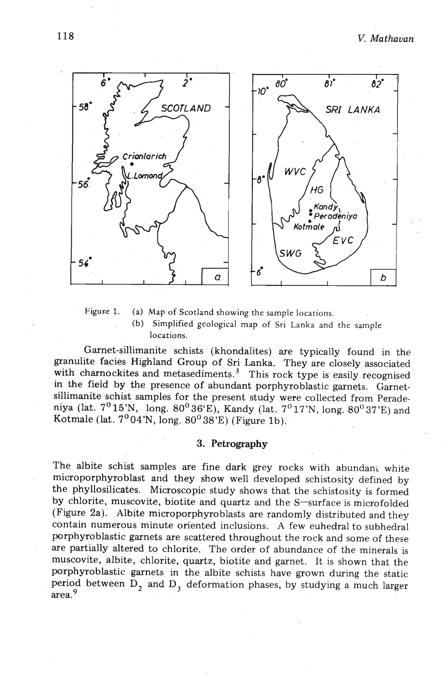

**Figure 1. (a) Map of Scotland showing the sample locations.**  (b) **Simplified geological map of Sri Lanka and the sample locations.** 

Garnet-sillimanite schists (khondalites) are typically found in the granulite facies Highland Group of Sri Lanka. They are closely associated with charnockites and metasediments.<sup>3</sup> This rock type is easily recognised in the field by the presence of abundant porphyroblastic garnets. Garnetsillimanite schist samples for the present study were collected from Peradeniya (lat.  $7^0 15'N$ , long.  $80^0 36'E$ ), Kandy (lat.  $7^0 17'N$ , long.  $80^0 37'E$ ) and Kotmale (lat.  $7^0$ 04'N, long.  $80^0$   $38^{\prime}$ E) (Figure 1b).

# **3.** Petrography

The albite schist samples are fine dark grey rocks with abundant white microporphyroblast and they show well developed schistosity defined by the phyllosilicates. Microscopic study shows that the schistosity is formed by chlorite, muscovite, biotite and quartz and the S-surface is microfolded (Figure 2a). Albite microporphyroblasts are randomly distributed and they contain numerous minute oriented inclusions. A few euhedral to subhedral porphyroblastic garnets are scattered throughout the rock and some of these are partially altered to chlorite. The order of abundance of the minerals is muscovite, albite, chlorite, quartz, biotite and garnet. It is shown that the porphyroblastic garnets in the albite schists have grown during the static period between  $D_2$  and  $D_3$  deformation phases, by studying a much larger area.9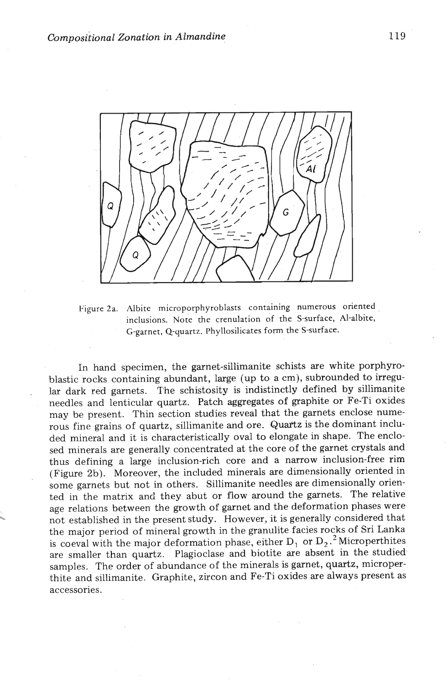

Figure 2a. Albite microporphyroblasts containing numerous oriented inclusions. Note the crenulation of the S-surface, Al-albite, G-garnet, Q-quartz. Phyllosilicates form the S-surface.

In hand specimen, the garnet-sillimanite schists are white porphyroblastic rocks containing abundant, large (up to a cm), subrounded to irregu lar dark red garnets. The schistosity is indistinctly defined by sillimanite needles and lenticular quartz. Patch aggregates of graphite or Fe-Ti oxides may be present. Thin section studies reveal that the garnets enclose numerous fine grains of quartz, sillimanite and ore. Quartz is the dominant included mineral and it is characteristically oval to elongate in shape. The enclosed minerals are generally concentrated at the core of the garnet crystals and thus defining a large inclusion-rich core and a narrow inclusion-free rim (Figure 2b). Moreover, the included minerals are dimensionally oriented in some garnets but not in others. Sillimanite needles are dimensionally oriented in the matrix and they abut or flow around the garnets. The relative age relations between the growth of garnet and the deformation phases were not established in the present study. However, it is generally considered that the major period of mineral growth in the granulite facies rocks of Sri Lanka is coeval with the major deformation phase, either  $D_1$  or  $D_2$ .<sup>2</sup> Microperthites are smaller than quartz. Plagioclase and biotite are absent in the studied samples. The order of abundance of the minerals is garnet, quartz, microperthite and sillimanite. Graphite, zircon and Fe-Ti oxides are always present as accessories.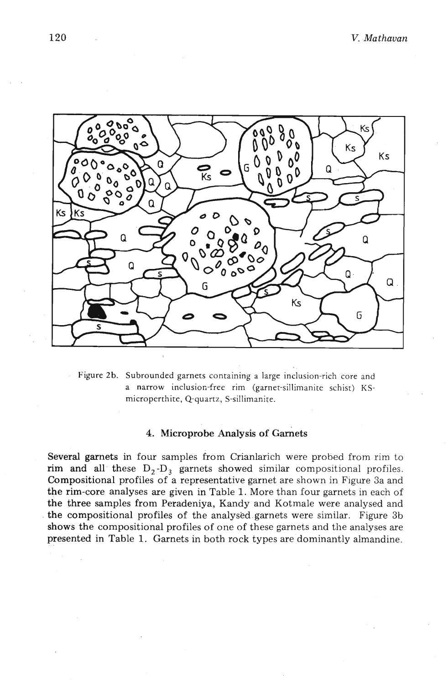

Figure 2b. Subrounded garnets containing a large inclusion-rich core and a narrow inclusion-free rim (garnet-sillimanite schist) KSmicroperthite, Q-quartz, S-sillimanite.

### 4. Microprobe Analysis of Garnets

Several garnets in four samples from Crianlarich were probed from rim to rim and all these  $D_2-D_3$  garnets showed similar compositional profiles. Compositional profiles of a representative garnet are shown in Figure 3a and the rim-core analyses are given in Table 1. More than four garnets in each of the three samples from Peradeniya, Kandy and Kotmale were analysed'and the compositional profiles of the analysed.garnets were similar. Figure 3b shows the compositional profiles of one of these garnets and the analyses are presented in Table 1. Garnets in both rock types aredominantly almandine.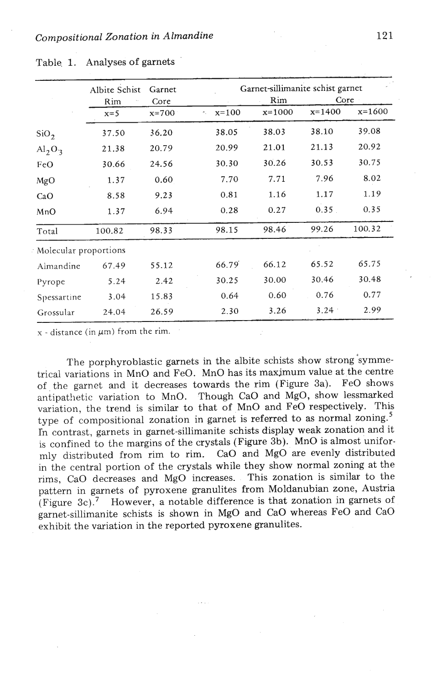|                       | Albite Schist<br>Rim | Garnet<br>Core | Garnet-sillimanite schist garnet<br>Core<br>Rim |          |          |          |
|-----------------------|----------------------|----------------|-------------------------------------------------|----------|----------|----------|
|                       | $x=5$                | $x = 700$      | $x=100$<br>۸,                                   | $x=1000$ | $x=1400$ | $x=1600$ |
| SiO <sub>2</sub>      | 37.50                | 36.20          | 38.05                                           | 38.03    | 38.10    | 39.08    |
| $Al_2O_3$             | 21.38                | 20.79          | 20.99                                           | 21.01    | 21.13    | 20.92    |
| FeO                   | 30.66                | 24.56          | 30.30                                           | 30.26    | 30.53    | 30.75    |
| MgO                   | 1.37                 | 0.60           | 7.70                                            | 7.71     | 7.96     | 8.02     |
| CaO                   | 8.58                 | 9.23           | 0.81                                            | 1.16     | 1.17     | 1.19     |
| MnO                   | 1.37                 | 6.94           | 0.28                                            | 0.27     | 0.35     | 0.35     |
| Total                 | 100.82               | 98.33          | 98.15                                           | 98.46    | 99.26    | 100.32   |
| Molecular proportions |                      |                |                                                 |          |          |          |
| Almandine             | 67.49                | 55.12          | 66.79                                           | 66.12    | 65.52    | 65.75    |
| Pyrope                | 5.24                 | 2.42           | 30.25                                           | 30.00    | 30.46    | 30.48    |
| Spessartine           | 3.04                 | 15.83          | 0.64                                            | 0.60     | 0.76     | 0.77     |
| Grossular             | 24.04                | 26.59          | 2.30                                            | 3.26     | 3.24     | 2.99     |

|  | Table 1. Analyses of garnets |  |
|--|------------------------------|--|

 $x - distance (in  $\mu$ m) from the rim.$ 

The porphyroblastic garnets in the albite schists show strong'symmetrical variations in MnO and FeO. MnO has its maximum value at the centre of the garnet and it decreases towards the rim (Figure 3a). FeO shows antipathetic variation to MnO. Though CaO and MgO, show lessmarked variation, the trend is similar to that of MnO and FeO respectively. This type of compositional zonation in garnet is referred to as normal zoning.' In contrast, garnets in garnet-sillimanite schists display weak zonation and it is confined to the margins of the crystals (Figure 3b). MnO is almost uniformly distributed from rim to rim. CaO and MgO are evenly distributed in the central portion of the crystals while they show normal zoning at the rims, CaO decreases and MgO increases. This zonation is similar to the pattern in garnets of pyroxene granulites from Moldanubian zone, Austria (Figure 3c).<sup>7</sup> However, a notable difference is that zonation in garnets of garnet-sillimanite schists is shown in **MgO** and CaO whereas FeO and CaO exhibit the variation in the reported pyroxene granulites.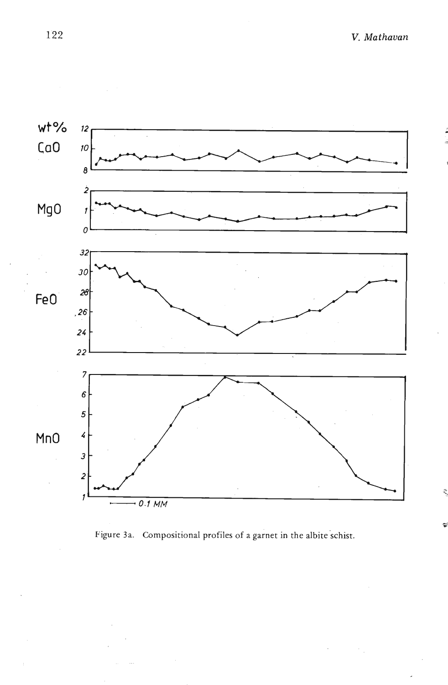

Figure 3a. Compositional profiles of a garnet in the albite schist.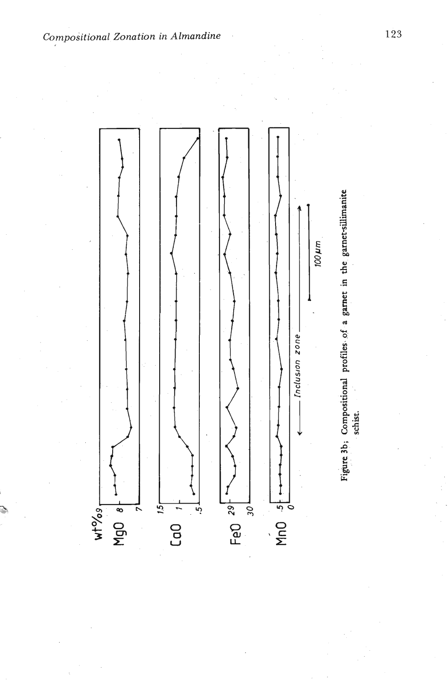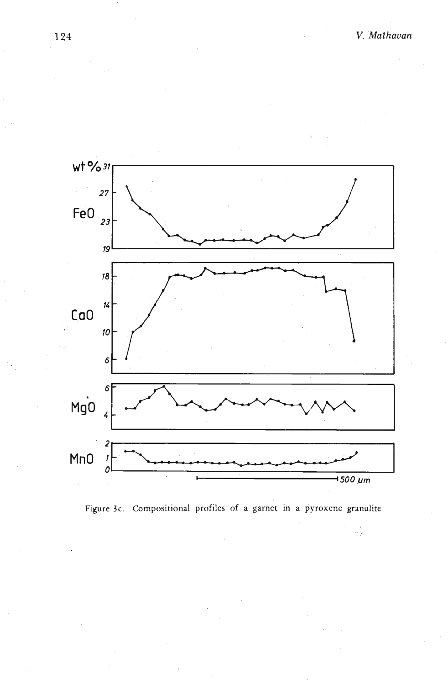Î,



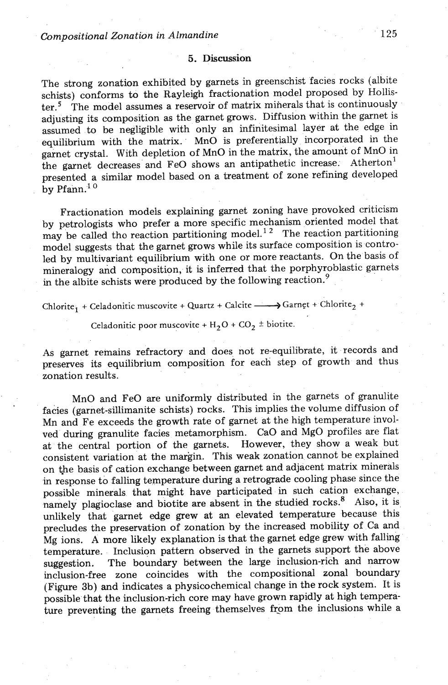#### **5. Discussion**

The strong zonation exhibited by garnets in greenschist facies rocks (albite schists) conforms to the Rayleigh fractionation model proposed by Hollister.<sup>5</sup> The model assumes a reservoir of matrix minerals that is continuously adjusting its composition as the garnet grows. Diffusion within the garnet is assumed to be negligible with only an infinitesimal layer at the edge in equilibrium with the matrix. MnO is preferentially incorporated in the garnet crystal. With depletion of MnO in the matrix, the amount of MnO in the garnet decreases and FeO shows an antipathetic increase. Atherton<sup>1</sup> presented a similar model based on a treatment of zone refining developed by Pfann.' *<sup>O</sup>*

Fractionation models explaining garnet zoning have provoked criticism by petrologists who prefer a more specific mechanism oriented model that may be called tho reaction partitioning model.<sup>12</sup> The reaction partitioning model suggests that the garnet grows while its surface composition is controled by multivariant equilibrium with one or more reactants. On the basis of mineralogy and composition, it is inferred that the porphyroblastic garnets in the albite schists were produced by the following reaction. $9$ 

Chlorite<sub>1</sub> + Celadonitic muscovite + Quartz + Calcite  $\longrightarrow$  Garnet + Chlorite<sub>2</sub> +

Celadonitic poor muscovite +  $H_2O$  +  $CO_2$   $\pm$  biotite.

As garnet remains refractory and does not re-equilibrate, it records and preserves its equilibrium composition for each step of growth and thus zonation results.

MnO and FeO are uniformly distributed in the garnets of granulite facies (garnet-sillimanite schists) rocks. This implies the volume diffusion of Mn and Fe exceeds the growth rate of garnet at the high temperature involved during granulite facies metamorphism. CaO and MgO profiles are flat at the central portion of the garnets. However, they show a weak but consistent variation at the margin. This weak zonation cannot be explained on the basis of cation exchange between garnet and adjacent matrix minerals in response to falling temperature during a retrograde cooling phase since the possible minerals that might have participated in such cation exchange, namely plagioclase and biotite are absent in the studied rocks.<sup>8</sup> Also, it is unlikely that garnet edge grew at an elevated temperature because this precludes the preservation of zonation by the increased mobility of Ca and Mg ions. **A** more likely explanation is that the garnet edge grew with falling temperature. Inclusion pattern observed in the garnets support the above suggestion. The boundary between the large inclusion-rich and narrow inclusion-free zone coincides with the compositional zonal boundary (Figure 3b) and indicates a physicochemical change in the rock system. It is possible that the inclusion-rich core may have grown rapidly at high temperature preventing the garnets freeing themselves from the inclusions while a